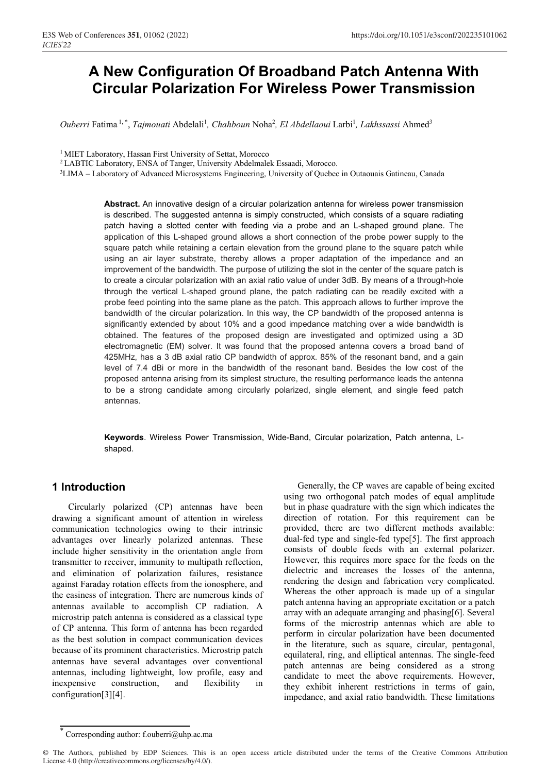# **A New Configuration Of Broadband Patch Antenna With Circular Polarization For Wireless Power Transmission**

Ouberri Fatima<sup>1,\*</sup>, *Tajmouati* Abdelali<sup>1</sup>, *Chahboun Noha<sup>2</sup>, El Abdellaoui* Larbi<sup>1</sup>, *Lakhssassi* Ahmed<sup>3</sup>

<sup>1</sup> MIET Laboratory, Hassan First University of Settat, Morocco

<sup>2</sup> LABTIC Laboratory, ENSA of Tanger, University Abdelmalek Essaadi, Morocco.

3LIMA – Laboratory of Advanced Microsystems Engineering, University of Quebec in Outaouais Gatineau, Canada

**Abstract.** An innovative design of a circular polarization antenna for wireless power transmission is described. The suggested antenna is simply constructed, which consists of a square radiating patch having a slotted center with feeding via a probe and an L-shaped ground plane. The application of this L-shaped ground allows a short connection of the probe power supply to the square patch while retaining a certain elevation from the ground plane to the square patch while using an air layer substrate, thereby allows a proper adaptation of the impedance and an improvement of the bandwidth. The purpose of utilizing the slot in the center of the square patch is to create a circular polarization with an axial ratio value of under 3dB. By means of a through-hole through the vertical L-shaped ground plane, the patch radiating can be readily excited with a probe feed pointing into the same plane as the patch. This approach allows to further improve the bandwidth of the circular polarization. In this way, the CP bandwidth of the proposed antenna is significantly extended by about 10% and a good impedance matching over a wide bandwidth is obtained. The features of the proposed design are investigated and optimized using a 3D electromagnetic (EM) solver. It was found that the proposed antenna covers a broad band of 425MHz, has a 3 dB axial ratio CP bandwidth of approx. 85% of the resonant band, and a gain level of 7.4 dBi or more in the bandwidth of the resonant band. Besides the low cost of the proposed antenna arising from its simplest structure, the resulting performance leads the antenna to be a strong candidate among circularly polarized, single element, and single feed patch antennas.

**Keywords**. Wireless Power Transmission, Wide-Band, Circular polarization, Patch antenna, Lshaped.

## **1 Introduction**

 Circularly polarized (CP) antennas have been drawing a significant amount of attention in wireless communication technologies owing to their intrinsic advantages over linearly polarized antennas. These include higher sensitivity in the orientation angle from transmitter to receiver, immunity to multipath reflection, and elimination of polarization failures, resistance against Faraday rotation effects from the ionosphere, and the easiness of integration. There are numerous kinds of antennas available to accomplish CP radiation. A microstrip patch antenna is considered as a classical type of CP antenna. This form of antenna has been regarded as the best solution in compact communication devices because of its prominent characteristics. Microstrip patch antennas have several advantages over conventional antennas, including lightweight, low profile, easy and inexpensive construction, and flexibility in configuration[3][4].

 Generally, the CP waves are capable of being excited using two orthogonal patch modes of equal amplitude but in phase quadrature with the sign which indicates the direction of rotation. For this requirement can be provided, there are two different methods available: dual-fed type and single-fed type[5]. The first approach consists of double feeds with an external polarizer. However, this requires more space for the feeds on the dielectric and increases the losses of the antenna, rendering the design and fabrication very complicated. Whereas the other approach is made up of a singular patch antenna having an appropriate excitation or a patch array with an adequate arranging and phasing[6]. Several forms of the microstrip antennas which are able to perform in circular polarization have been documented in the literature, such as square, circular, pentagonal, equilateral, ring, and elliptical antennas. The single-feed patch antennas are being considered as a strong candidate to meet the above requirements. However, they exhibit inherent restrictions in terms of gain, impedance, and axial ratio bandwidth. These limitations

Corresponding author: f.ouberri@uhp.ac.ma

<sup>©</sup> The Authors, published by EDP Sciences. This is an open access article distributed under the terms of the Creative Commons Attribution License 4.0 (http://creativecommons.org/licenses/by/4.0/).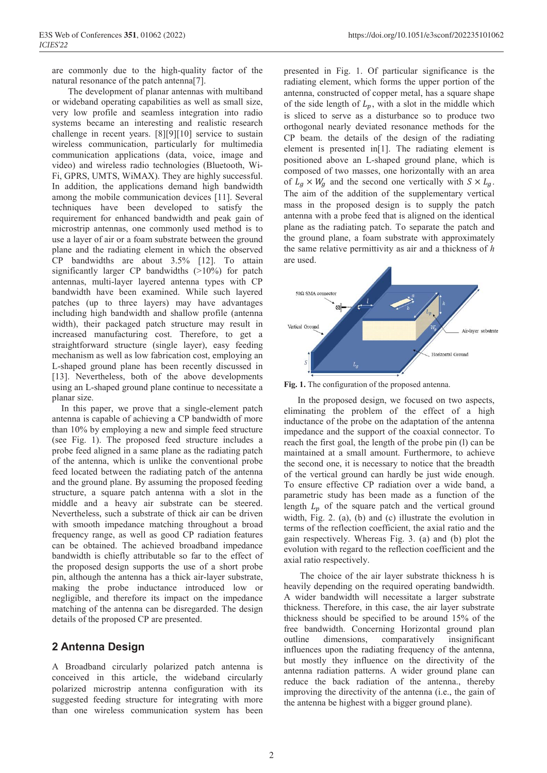are commonly due to the high-quality factor of the natural resonance of the patch antenna<sup>[7]</sup>.

 The development of planar antennas with multiband or wideband operating capabilities as well as small size, very low profile and seamless integration into radio systems became an interesting and realistic research challenge in recent years. [8][9][10] service to sustain wireless communication, particularly for multimedia communication applications (data, voice, image and video) and wireless radio technologies (Bluetooth, Wi-Fi, GPRS, UMTS, WiMAX). They are highly successful. In addition, the applications demand high bandwidth among the mobile communication devices [11]. Several techniques have been developed to satisfy the requirement for enhanced bandwidth and peak gain of microstrip antennas, one commonly used method is to use a layer of air or a foam substrate between the ground plane and the radiating element in which the observed CP bandwidths are about 3.5% [12]. To attain significantly larger CP bandwidths (>10%) for patch antennas, multi-layer layered antenna types with CP bandwidth have been examined. While such layered patches (up to three layers) may have advantages including high bandwidth and shallow profile (antenna width), their packaged patch structure may result in increased manufacturing cost. Therefore, to get a straightforward structure (single layer), easy feeding mechanism as well as low fabrication cost, employing an L-shaped ground plane has been recently discussed in [13]. Nevertheless, both of the above developments using an L-shaped ground plane continue to necessitate a planar size.

 In this paper, we prove that a single-element patch antenna is capable of achieving a CP bandwidth of more than 10% by employing a new and simple feed structure (see Fig. 1). The proposed feed structure includes a probe feed aligned in a same plane as the radiating patch of the antenna, which is unlike the conventional probe feed located between the radiating patch of the antenna and the ground plane. By assuming the proposed feeding structure, a square patch antenna with a slot in the middle and a heavy air substrate can be steered. Nevertheless, such a substrate of thick air can be driven with smooth impedance matching throughout a broad frequency range, as well as good CP radiation features can be obtained. The achieved broadband impedance bandwidth is chiefly attributable so far to the effect of the proposed design supports the use of a short probe pin, although the antenna has a thick air-layer substrate, making the probe inductance introduced low or negligible, and therefore its impact on the impedance matching of the antenna can be disregarded. The design details of the proposed CP are presented.

### **2 Antenna Design**

A Broadband circularly polarized patch antenna is conceived in this article, the wideband circularly polarized microstrip antenna configuration with its suggested feeding structure for integrating with more than one wireless communication system has been presented in Fig. 1. Of particular significance is the radiating element, which forms the upper portion of the antenna, constructed of copper metal, has a square shape of the side length of  $L_p$ , with a slot in the middle which is sliced to serve as a disturbance so to produce two orthogonal nearly deviated resonance methods for the CP beam. the details of the design of the radiating element is presented in[1]. The radiating element is positioned above an L-shaped ground plane, which is composed of two masses, one horizontally with an area of  $L_q \times W_q$  and the second one vertically with  $S \times L_q$ . The aim of the addition of the supplementary vertical mass in the proposed design is to supply the patch antenna with a probe feed that is aligned on the identical plane as the radiating patch. To separate the patch and the ground plane, a foam substrate with approximately the same relative permittivity as air and a thickness of  $h$ are used.



**Fig. 1.** The configuration of the proposed antenna.

 In the proposed design, we focused on two aspects, eliminating the problem of the effect of a high inductance of the probe on the adaptation of the antenna impedance and the support of the coaxial connector. To reach the first goal, the length of the probe pin (l) can be maintained at a small amount. Furthermore, to achieve the second one, it is necessary to notice that the breadth of the vertical ground can hardly be just wide enough. To ensure effective CP radiation over a wide band, a parametric study has been made as a function of the length  $L_p$  of the square patch and the vertical ground width, Fig. 2. (a), (b) and (c) illustrate the evolution in terms of the reflection coefficient, the axial ratio and the gain respectively. Whereas Fig. 3. (a) and (b) plot the evolution with regard to the reflection coefficient and the axial ratio respectively.

 The choice of the air layer substrate thickness h is heavily depending on the required operating bandwidth. A wider bandwidth will necessitate a larger substrate thickness. Therefore, in this case, the air layer substrate thickness should be specified to be around 15% of the free bandwidth. Concerning Horizontal ground plan outline dimensions, comparatively insignificant influences upon the radiating frequency of the antenna, but mostly they influence on the directivity of the antenna radiation patterns. A wider ground plane can reduce the back radiation of the antenna., thereby improving the directivity of the antenna (i.e., the gain of the antenna be highest with a bigger ground plane).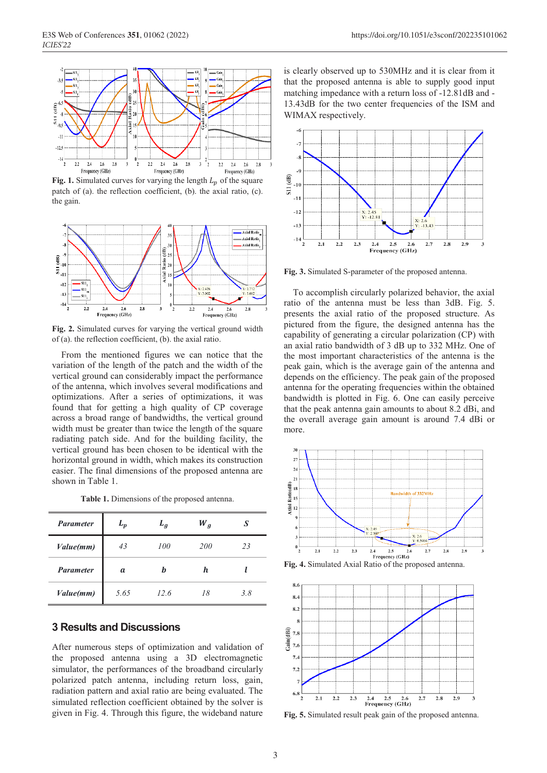

**Fig. 1.** Simulated curves for varying the length  $L_n$  of the square patch of (a). the reflection coefficient, (b). the axial ratio, (c). the gain.



**Fig. 2.** Simulated curves for varying the vertical ground width of (a). the reflection coefficient, (b). the axial ratio.

 From the mentioned figures we can notice that the variation of the length of the patch and the width of the vertical ground can considerably impact the performance of the antenna, which involves several modifications and optimizations. After a series of optimizations, it was found that for getting a high quality of CP coverage across a broad range of bandwidths, the vertical ground width must be greater than twice the length of the square radiating patch side. And for the building facility, the vertical ground has been chosen to be identical with the horizontal ground in width, which makes its construction easier. The final dimensions of the proposed antenna are shown in Table 1.

| Table 1. Dimensions of the proposed antenna. |  |  |  |
|----------------------------------------------|--|--|--|
|----------------------------------------------|--|--|--|

| <b>Parameter</b> | $L_p$ | $L_g$ | $W_g$      | S   |
|------------------|-------|-------|------------|-----|
| Value(mm)        | 43    | 100   | <i>200</i> | 23  |
| <b>Parameter</b> | a     | h     | h.         |     |
| Value(mm)        | 5.65  | 12.6  | 18         | 3.8 |

#### **3 Results and Discussions**

After numerous steps of optimization and validation of the proposed antenna using a 3D electromagnetic simulator, the performances of the broadband circularly polarized patch antenna, including return loss, gain, radiation pattern and axial ratio are being evaluated. The simulated reflection coefficient obtained by the solver is given in Fig. 4. Through this figure, the wideband nature

is clearly observed up to 530MHz and it is clear from it that the proposed antenna is able to supply good input matching impedance with a return loss of -12.81dB and - 13.43dB for the two center frequencies of the ISM and WIMAX respectively.



**Fig. 3.** Simulated S-parameter of the proposed antenna.

 To accomplish circularly polarized behavior, the axial ratio of the antenna must be less than 3dB. Fig. 5. presents the axial ratio of the proposed structure. As pictured from the figure, the designed antenna has the capability of generating a circular polarization (CP) with an axial ratio bandwidth of 3 dB up to 332 MHz. One of the most important characteristics of the antenna is the peak gain, which is the average gain of the antenna and depends on the efficiency. The peak gain of the proposed antenna for the operating frequencies within the obtained bandwidth is plotted in Fig. 6. One can easily perceive that the peak antenna gain amounts to about 8.2 dBi, and the overall average gain amount is around 7.4 dBi or more.



**Fig. 4.** Simulated Axial Ratio of the proposed antenna.



**Fig. 5.** Simulated result peak gain of the proposed antenna.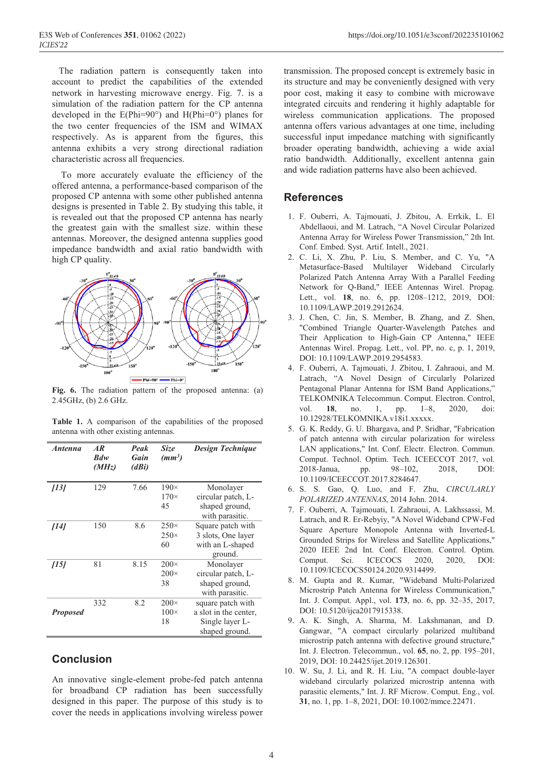The radiation pattern is consequently taken into account to predict the capabilities of the extended network in harvesting microwave energy. Fig. 7. is a simulation of the radiation pattern for the CP antenna developed in the  $E(Phi=90^{\circ})$  and  $H(Phi=0^{\circ})$  planes for the two center frequencies of the ISM and WIMAX respectively. As is apparent from the figures, this antenna exhibits a very strong directional radiation characteristic across all frequencies.

 To more accurately evaluate the efficiency of the offered antenna, a performance-based comparison of the proposed CP antenna with some other published antenna designs is presented in Table 2. By studying this table, it is revealed out that the proposed CP antenna has nearly the greatest gain with the smallest size. within these antennas. Moreover, the designed antenna supplies good impedance bandwidth and axial ratio bandwidth with high CP quality.



**Fig. 6.** The radiation pattern of the proposed antenna: (a) 2.45GHz, (b) 2.6 GHz.

**Table 1.** A comparison of the capabilities of the proposed antenna with other existing antennas.

| <i><b>Antenna</b></i> | AR<br>Bdw<br>(MHz) | Peak<br>Gain<br>(dBi) | Size<br>(mm <sup>3</sup> )       | <b>Design Technique</b>                                                         |
|-----------------------|--------------------|-----------------------|----------------------------------|---------------------------------------------------------------------------------|
| [13]                  | 129                | 7.66                  | $190\times$<br>$170\times$<br>45 | Monolayer<br>circular patch, L-<br>shaped ground,<br>with parasitic.            |
| [14]                  | 150                | 8.6                   | $250\times$<br>$250\times$<br>60 | Square patch with<br>3 slots, One layer<br>with an L-shaped<br>ground.          |
| [15]                  | 81                 | 8.15                  | $200\times$<br>$200\times$<br>38 | Monolayer<br>circular patch, L-<br>shaped ground,<br>with parasitic.            |
| <b>Proposed</b>       | 332                | 8.2                   | $200\times$<br>$100\times$<br>18 | square patch with<br>a slot in the center,<br>Single layer L-<br>shaped ground. |

### **Conclusion**

An innovative single-element probe-fed patch antenna for broadband CP radiation has been successfully designed in this paper. The purpose of this study is to cover the needs in applications involving wireless power

transmission. The proposed concept is extremely basic in its structure and may be conveniently designed with very poor cost, making it easy to combine with microwave integrated circuits and rendering it highly adaptable for wireless communication applications. The proposed antenna offers various advantages at one time, including successful input impedance matching with significantly broader operating bandwidth, achieving a wide axial ratio bandwidth. Additionally, excellent antenna gain and wide radiation patterns have also been achieved.

#### **References**

- 1. F. Ouberri, A. Tajmouati, J. Zbitou, A. Errkik, L. El Abdellaoui, and M. Latrach, "A Novel Circular Polarized Antenna Array for Wireless Power Transmission," 2th Int. Conf. Embed. Syst. Artif. Intell., 2021.
- 2. C. Li, X. Zhu, P. Liu, S. Member, and C. Yu, "A Metasurface-Based Multilayer Wideband Circularly Polarized Patch Antenna Array With a Parallel Feeding Network for Q-Band," IEEE Antennas Wirel. Propag. Lett., vol. **18**, no. 6, pp. 1208–1212, 2019, DOI: 10.1109/LAWP.2019.2912624.
- 3. J. Chen, C. Jin, S. Member, B. Zhang, and Z. Shen, "Combined Triangle Quarter-Wavelength Patches and Their Application to High-Gain CP Antenna," IEEE Antennas Wirel. Propag. Lett., vol. PP, no. c, p. 1, 2019, DOI: 10.1109/LAWP.2019.2954583.
- 4. F. Ouberri, A. Tajmouati, J. Zbitou, I. Zahraoui, and M. Latrach, "A Novel Design of Circularly Polarized Pentagonal Planar Antenna for ISM Band Applications," TELKOMNIKA Telecommun. Comput. Electron. Control, vol. **18**, no. 1, pp. 1–8, 2020, doi: 10.12928/TELKOMNIKA.v18i1.xxxxx.
- 5. G. K. Reddy, G. U. Bhargava, and P. Sridhar, "Fabrication of patch antenna with circular polarization for wireless LAN applications," Int. Conf. Electr. Electron. Commun. Comput. Technol. Optim. Tech. ICEECCOT 2017, vol. 2018-Janua, pp. 98–102, 2018, DOI: 10.1109/ICEECCOT.2017.8284647.
- 6. S. S. Gao, Q. Luo, and F. Zhu, *CIRCULARLY POLARIZED ANTENNAS*, 2014 John. 2014.
- 7. F. Ouberri, A. Tajmouati, I. Zahraoui, A. Lakhssassi, M. Latrach, and R. Er-Rebyiy, "A Novel Wideband CPW-Fed Square Aperture Monopole Antenna with Inverted-L Grounded Strips for Wireless and Satellite Applications," 2020 IEEE 2nd Int. Conf. Electron. Control. Optim. Comput. Sci. ICECOCS 2020, 2020, DOI: 10.1109/ICECOCS50124.2020.9314499.
- 8. M. Gupta and R. Kumar, "Wideband Multi-Polarized Microstrip Patch Antenna for Wireless Communication," Int. J. Comput. Appl., vol. **173**, no. 6, pp. 32–35, 2017, DOI: 10.5120/ijca2017915338.
- 9. A. K. Singh, A. Sharma, M. Lakshmanan, and D. Gangwar, "A compact circularly polarized multiband microstrip patch antenna with defective ground structure," Int. J. Electron. Telecommun., vol. **65**, no. 2, pp. 195–201, 2019, DOI: 10.24425/ijet.2019.126301.
- 10. W. Su, J. Li, and R. H. Liu, "A compact double-layer wideband circularly polarized microstrip antenna with parasitic elements," Int. J. RF Microw. Comput. Eng., vol. **31**, no. 1, pp. 1–8, 2021, DOI: 10.1002/mmce.22471.